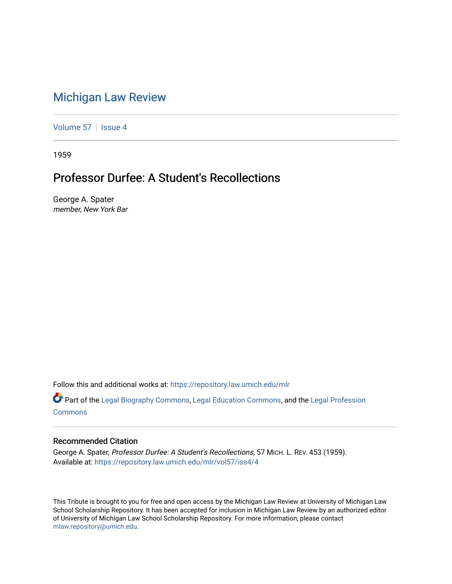# [Michigan Law Review](https://repository.law.umich.edu/mlr)

[Volume 57](https://repository.law.umich.edu/mlr/vol57) | [Issue 4](https://repository.law.umich.edu/mlr/vol57/iss4)

1959

# Professor Durfee: A Student's Recollections

George A. Spater member, New York Bar

Follow this and additional works at: [https://repository.law.umich.edu/mlr](https://repository.law.umich.edu/mlr?utm_source=repository.law.umich.edu%2Fmlr%2Fvol57%2Fiss4%2F4&utm_medium=PDF&utm_campaign=PDFCoverPages) 

Part of the [Legal Biography Commons,](http://network.bepress.com/hgg/discipline/834?utm_source=repository.law.umich.edu%2Fmlr%2Fvol57%2Fiss4%2F4&utm_medium=PDF&utm_campaign=PDFCoverPages) [Legal Education Commons,](http://network.bepress.com/hgg/discipline/857?utm_source=repository.law.umich.edu%2Fmlr%2Fvol57%2Fiss4%2F4&utm_medium=PDF&utm_campaign=PDFCoverPages) and the [Legal Profession](http://network.bepress.com/hgg/discipline/1075?utm_source=repository.law.umich.edu%2Fmlr%2Fvol57%2Fiss4%2F4&utm_medium=PDF&utm_campaign=PDFCoverPages)  [Commons](http://network.bepress.com/hgg/discipline/1075?utm_source=repository.law.umich.edu%2Fmlr%2Fvol57%2Fiss4%2F4&utm_medium=PDF&utm_campaign=PDFCoverPages)

## Recommended Citation

George A. Spater, Professor Durfee: A Student's Recollections, 57 MICH. L. REV. 453 (1959). Available at: [https://repository.law.umich.edu/mlr/vol57/iss4/4](https://repository.law.umich.edu/mlr/vol57/iss4/4?utm_source=repository.law.umich.edu%2Fmlr%2Fvol57%2Fiss4%2F4&utm_medium=PDF&utm_campaign=PDFCoverPages)

This Tribute is brought to you for free and open access by the Michigan Law Review at University of Michigan Law School Scholarship Repository. It has been accepted for inclusion in Michigan Law Review by an authorized editor of University of Michigan Law School Scholarship Repository. For more information, please contact [mlaw.repository@umich.edu.](mailto:mlaw.repository@umich.edu)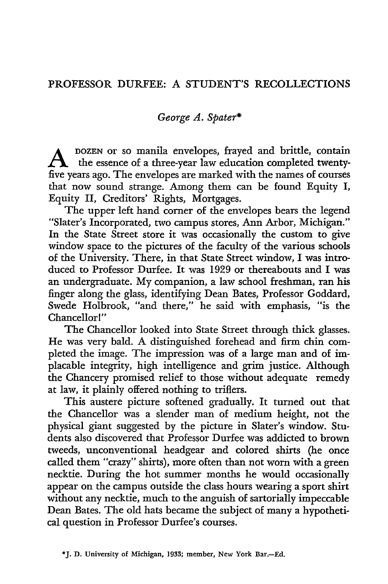## PROFESSOR DURFEE: A STUDENT'S RECOLLECTIONS

## *George A. Spater\**

A DOZEN Or so manila envelopes, frayed and brittle, contain<br>the essence of a three-year law education completed twenty-<br>fragments of a three-year model with the same of service five years ago. The envelopes are marked with the names of courses that now sound strange. Among them can be found Equity I, Equity II, Creditors' Rights, Mortgages.

The upper left hand corner of the envelopes bears the legend "Slater's Incorporated, two campus stores, Ann Arbor, Michigan." In the State Street store it was occasionally the custom to give window space to the pictures of the faculty of the various schools of the University. There, in that State Street window, I was introduced to Professor Durfee. It was 1929 or thereabouts and I was an undergraduate. My companion, a law school freshman, ran his finger along the glass, identifying Dean Bates, Professor Goddard, Swede Holbrook, "and there," he said with emphasis, "is the Chancellor!"

The Chancellor looked into State Street through thick glasses. He was very bald. A distinguished forehead and firm chin completed the image. The impression was of a large man and of implacable integrity, high intelligence and grim justice. Although the Chancery promised relief to those without adequate remedy at law, it plainly offered nothing to triflers.

This austere picture softened gradually. It turned out that the Chancellor was a slender man of medium height, not the physical giant suggested by the picture in Slater's window. Students also discovered that Professor Durfee was addicted to brown tweeds, unconventional headgear and colored shirts (he once called them "crazy" shirts), more often than not worn with a green necktie. During the hot summer months he would occasionally appear on the campus outside the class hours wearing a sport shirt without any necktie, much to the anguish of sartorially impeccable Dean Bates. The old hats became the subject of many a hypothetical question in Professor Durfee's courses.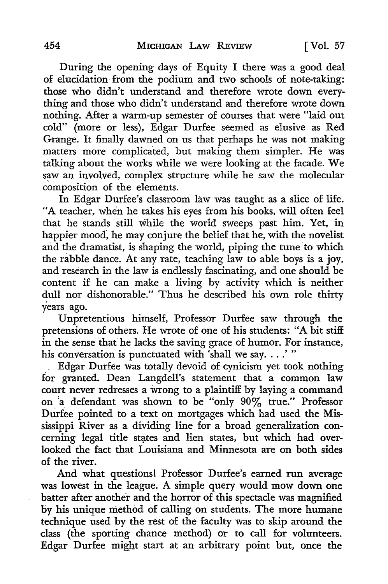During the opening days of Equity I there was a good deal of elucidation from the podium and two schools of note-taking: those who didn't understand and therefore wrote down everything and those who didn't understand and therefore wrote down nothing. After a warm-up semester of courses that were "laid out cold" (more or less), Edgar Durfee seemed as elusive as Red Grange. It finally dawned on us that perhaps he was not making matters more complicated, but making them simpler. He was talking about the works while we were looking at the facade. We saw an involved, complex structure while he saw the molecular composition of the elements.

In Edgar Durfee's classroom law was taught as a slice of life. "A teacher, when he takes his eyes from his books, will often feel that he stands still while the world sweeps past him. Yet, in happier mood, he may conjure the belief that he, with the novelist and the dramatist, is shaping the world, piping the tune to which the rabble dance. At any rate, teaching law to able boys is a joy, and research in the law is endlessly fascinating, and one should be content if he can make a living by activity which is neither dull nor dishonorable." Thus he described his own role thirty years ago.

Unpretentious himself, Professor Durfee saw through the pretensions of others. He wrote of one of his students: "A bit stiff in the sense that he lacks the saving grace of humor. For instance, his conversation is punctuated with 'shall we say....' "

. Edgar Durfee was totally devoid of cynicism yet took nothing for granted. Dean Langdell's statement that a common law court never redresses a wrong to a plaintiff by laying a command on 'a defendant was shown to be "only 90% true.'' Professor Durfee pointed to a text on mortgages which had used the Mississippi River as a dividing line for a broad generalization concerning legal title states and lien states, but which had overlooked the fact that Louisiana and Minnesota are on both sides of the river.

And what questions! Professor Durfee's earned run average was lowest in the league. A simple query would mow down one batter after another and the horror of this spectacle was magnified by his unique method of calling on students. The more humane technique used by the rest of the faculty was to skip around the class (the sporting chance method) or to call for volunteers. Edgar Durfee might start at an arbitrary point but, once the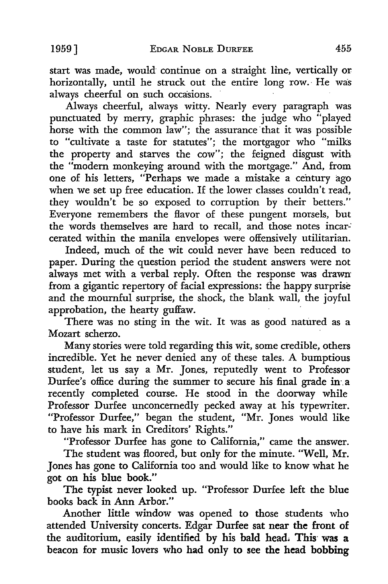start was made, would· continue on a straight line, vertically or horizontally, until he struck out the entire long row. He was always cheerful on such occasions.

Always cheerful, always witty. Nearly every paragraph was punctuated by merry, graphic phrases: the judge who "played horse with the common law"; the assurance that it was possible to "cultivate a taste for statutes"; the mortgagor who "milks the property and starves the cow"; the feigned disgust with the "modem monkeying around with the mortgage." And, from one of his letters, "Perhaps we made a mistake a century ago when we set up free education. If the lower classes couldn't read, they wouldn't be so exposed to corruption by their betters." Everyone remembers the flavor of these pungent morsels, but the words themselves are hard to recall, and those notes incarcerated within the manila envelopes were offensively utilitarian.

Indeed, much of the wit could never have been reduced to paper. During the question period the student answers were not always met with a verbal reply. Often the response was drawn from a gigantic repertory of facial expressions: the happy surprise and the mournful surprise, the shock, the blank wall, the joyful approbation, the hearty guffaw.

There was no sting in the wit. It was as good natured as a Mozart scherzo.

Many stories were told regarding this wit, some credible, others incredible. Yet he never denied any of these tales. A bumptious student, let us say a Mr. Jones, reputedly went to Professor Durfee's office during the summer to secure his final grade in a recently completed course. He stood in the doorway while Professor Durfee unconcernedly pecked away at his typewriter. "Professor Durfee," began the student, "Mr. Jones would like to have his mark in Creditors' Rights."

"Professor Durfee has gone to California," came the answer.

The student was floored, but only for the minute. "Well, Mr. Jones has gone to California too and would like to know what he got on his blue book."

The typist never looked up. "Professor Durfee left the blue books back in Ann Arbor."

Another little window was opened to those students who attended University concerts. Edgar Durfee sat near the front of the auditorium, easily identified by his bald head; This· was a beacon for music lovers who had only to see the head bobbing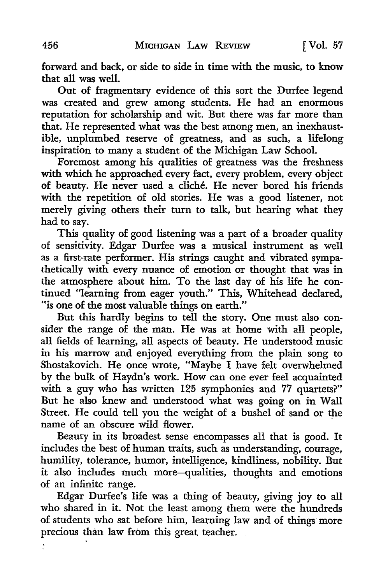forward and back, or side to side in time with the music, to know that all was well.

Out of fragmentary evidence of this sort the Durfee legend was created and grew among students. He had an enormous reputation for scholarship and wit. But there was far more than that. He represented what was the best among men, an inexhaustible, unplumbed reserve of greatness, and as such, a lifelong inspiration to many a student of the Michigan Law School.

Foremost among his qualities of greatness was the freshness with which he approached every fact, every problem, every object of beauty. He never used a cliche. He never bored his friends with the repetition of old stories. He was a good listener, not merely giving others their tum to talk, but hearing what they had to say.

This quality of good listening was a part of a broader quality of sensitivity. Edgar Durfee was a musical instrument as well as a first-rate performer. His strings caught and vibrated sympathetically with every nuance of emotion or thought that was in the atmosphere about him. To the last day of his life he continued "learning from eager youth." This, Whitehead declared, "is one of the most valuable things on earth."

But this hardly begins to tell the story. One must also consider the range of the man. He was at home with all people, all fields of learning, all aspects of beauty. He understood music in his marrow and enjoyed everything from the plain song to Shostakovich. He once wrote, "Maybe I have felt overwhelmed by the bulk of Haydn's work. How can one ever feel acquainted with a guy who has written 125 symphonies and 77 quartets?" But he also knew and understood what was going on in Wall Street. He could tell you the weight of a bushel of sand or the name of an obscure wild flower.

Beauty in its broadest sense encompasses all that is good. It includes the best of human traits, such as understanding, courage, humility, tolerance, humor, intelligence, kindliness, nobility. But it also includes much more-qualities, thoughts and emotions of an infinite range.

Edgar Durfee's life was a thing of beauty, giving joy to all who shared in it. Not the least among them were the hundreds of students who sat before him, learning law and of things· more precious than law from this great teacher.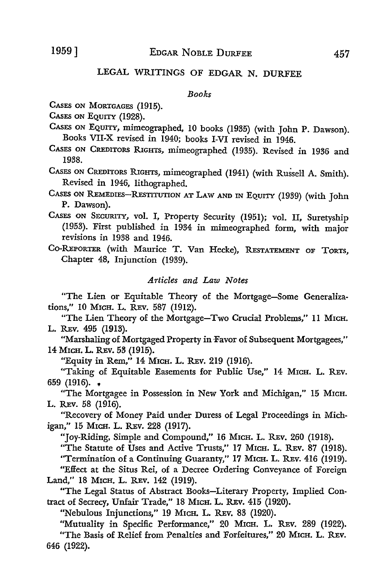## LEGAL WRITINGS OF EDGAR N. DURFEE

#### *Books*

### CASES ON MORTGAGES (1915).

- CASES ON EQUITY (1928).
- CASES ON EQUITY, mimeographed, 10 books (1935) (with John P. Dawson). Books VII-X revised in 1940; books I-VI revised in 1946.
- CASES ON CREDITORS RIGHTS, mimeographed (1935). Revised in 1936 and 1938.
- CASES ON CREDITORS RIGHTS, mimeographed (1941) (with Russell A. Smith). Revised in 1946, lithographed.
- CASES ON REMEDIES-RESTITUTION AT LAW AND IN EQUITY (1939) (with John P. Dawson).
- CASES ON SECURITY, vol. I, Property Security (1951); vol. II, Suretyship (1953). First published in 1934 in mimeographed form, with major revisions in 1938 and 1946.
- Co-REPORTER (with Maurice T. Van Hecke), RESTATEMENT OF TORTS, Chapter 48, Injunction (1939).

### *Articles and Law Notes*

"The Lien or Equitable Theory of the Mortgage-Some Generalizations," 10 MICH. L. REv. 587 (1912).

"The Lien Theory of the Mortgage-Two Crucial Problems," 11 MICH. L. REv. 495 (1913).

"Marshaling of Mortgaged Property in Favor of Subsequent Mortgagees," 14 MICH. L. REv. 53 (1915).

"Equity in *Rem,"* 14 MICH. L. REv. 219 (1916).

"Taking of Equitable Easements for Public Use," 14 MrcH. L. REV. 659 (1916). •

"The Mortgagee in Possession in New York and Michigan," 15 MICH. L. REv. 58 (1916).

"Recovery of Money Paid under Duress of Legal Proceedings in Michigan," 15 MICH. L. REv. 228 (1917).

"Joy-Riding, Simple and Compound," 16 MICH. L. REv. 260 (1918).

"The Statute of Uses and Active Trusts," 17 MICH. L. REv. 87 (1918).

"Termination of a Continuing Guaranty," 17 MICH. L. REv. 416 (1919).

"Effect at the Situs Rei, of a Decree Ordering Conveyance of Foreign Land," 18 MICH. L. REv. 142 (1919).

"The Legal Status of Abstract Books-Literary Property, Implied Contract of *Secrecy,* Unfair Trade," 18 MICH. L. REv. 415 (1920).

"Nebulous Injunctions," 19 MICH. L. REv. 83 (1920).

"Mutuality in Specific Performance," 20 MICH. L. REv. 289 (1922). "The Basis of Relief from Penalties and Forfeitures," 20 MICH. L. REv. 646 (1922).